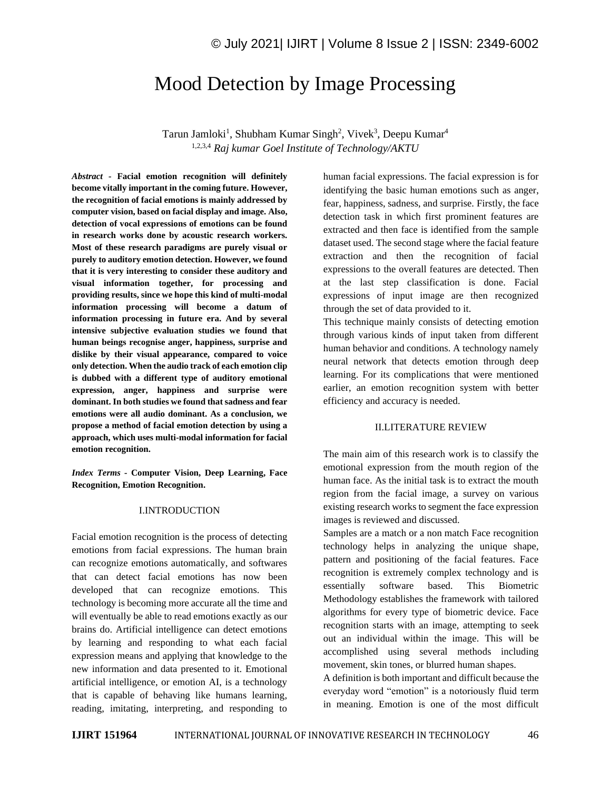# Mood Detection by Image Processing

Tarun Jamloki<sup>1</sup>, Shubham Kumar Singh<sup>2</sup>, Vivek<sup>3</sup>, Deepu Kumar<sup>4</sup> 1,2,3,4 *Raj kumar Goel Institute of Technology/AKTU*

*Abstract -* **Facial emotion recognition will definitely become vitally important in the coming future. However, the recognition of facial emotions is mainly addressed by computer vision, based on facial display and image. Also, detection of vocal expressions of emotions can be found in research works done by acoustic research workers. Most of these research paradigms are purely visual or purely to auditory emotion detection. However, we found that it is very interesting to consider these auditory and visual information together, for processing and providing results, since we hope this kind of multi-modal information processing will become a datum of information processing in future era. And by several intensive subjective evaluation studies we found that human beings recognise anger, happiness, surprise and dislike by their visual appearance, compared to voice only detection. When the audio track of each emotion clip is dubbed with a different type of auditory emotional expression, anger, happiness and surprise were dominant. In both studies we found that sadness and fear emotions were all audio dominant. As a conclusion, we propose a method of facial emotion detection by using a approach, which uses multi-modal information for facial emotion recognition.**

*Index Terms -* **Computer Vision, Deep Learning, Face Recognition, Emotion Recognition.**

#### I.INTRODUCTION

Facial emotion recognition is the process of detecting emotions from facial expressions. The human brain can recognize emotions automatically, and softwares that can detect facial emotions has now been developed that can recognize emotions. This technology is becoming more accurate all the time and will eventually be able to read emotions exactly as our brains do. Artificial intelligence can detect emotions by learning and responding to what each facial expression means and applying that knowledge to the new information and data presented to it. Emotional artificial intelligence, or emotion AI, is a technology that is capable of behaving like humans learning, reading, imitating, interpreting, and responding to human facial expressions. The facial expression is for identifying the basic human emotions such as anger, fear, happiness, sadness, and surprise. Firstly, the face detection task in which first prominent features are extracted and then face is identified from the sample dataset used. The second stage where the facial feature extraction and then the recognition of facial expressions to the overall features are detected. Then at the last step classification is done. Facial expressions of input image are then recognized through the set of data provided to it.

This technique mainly consists of detecting emotion through various kinds of input taken from different human behavior and conditions. A technology namely neural network that detects emotion through deep learning. For its complications that were mentioned earlier, an emotion recognition system with better efficiency and accuracy is needed.

### II.LITERATURE REVIEW

The main aim of this research work is to classify the emotional expression from the mouth region of the human face. As the initial task is to extract the mouth region from the facial image, a survey on various existing research works to segment the face expression images is reviewed and discussed.

Samples are a match or a non match Face recognition technology helps in analyzing the unique shape, pattern and positioning of the facial features. Face recognition is extremely complex technology and is essentially software based. This Biometric Methodology establishes the framework with tailored algorithms for every type of biometric device. Face recognition starts with an image, attempting to seek out an individual within the image. This will be accomplished using several methods including movement, skin tones, or blurred human shapes.

A definition is both important and difficult because the everyday word "emotion" is a notoriously fluid term in meaning. Emotion is one of the most difficult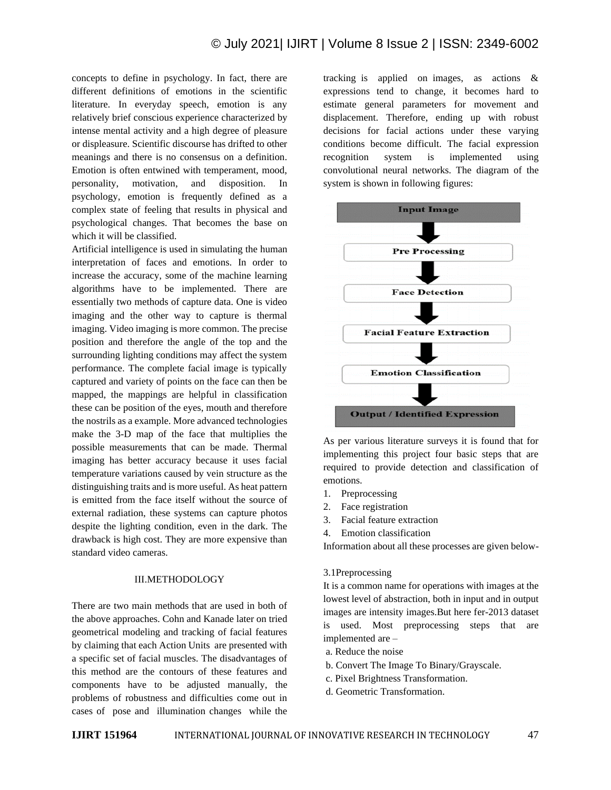concepts to define in psychology. In fact, there are different definitions of emotions in the scientific literature. In everyday speech, emotion is any relatively brief conscious experience characterized by intense mental activity and a high degree of pleasure or displeasure. Scientific discourse has drifted to other meanings and there is no consensus on a definition. Emotion is often entwined with temperament, mood, personality, motivation, and disposition. In psychology, emotion is frequently defined as a complex state of feeling that results in physical and psychological changes. That becomes the base on which it will be classified.

Artificial intelligence is used in simulating the human interpretation of faces and emotions. In order to increase the accuracy, some of the machine learning algorithms have to be implemented. There are essentially two methods of capture data. One is video imaging and the other way to capture is thermal imaging. Video imaging is more common. The precise position and therefore the angle of the top and the surrounding lighting conditions may affect the system performance. The complete facial image is typically captured and variety of points on the face can then be mapped, the mappings are helpful in classification these can be position of the eyes, mouth and therefore the nostrils as a example. More advanced technologies make the 3-D map of the face that multiplies the possible measurements that can be made. Thermal imaging has better accuracy because it uses facial temperature variations caused by vein structure as the distinguishing traits and is more useful. As heat pattern is emitted from the face itself without the source of external radiation, these systems can capture photos despite the lighting condition, even in the dark. The drawback is high cost. They are more expensive than standard video cameras.

#### III.METHODOLOGY

There are two main methods that are used in both of the above approaches. Cohn and Kanade later on tried geometrical modeling and tracking of facial features by claiming that each Action Units are presented with a specific set of facial muscles. The disadvantages of this method are the contours of these features and components have to be adjusted manually, the problems of robustness and difficulties come out in cases of pose and illumination changes while the

tracking is applied on images, as actions & expressions tend to change, it becomes hard to estimate general parameters for movement and displacement. Therefore, ending up with robust decisions for facial actions under these varying conditions become difficult. The facial expression recognition system is implemented using convolutional neural networks. The diagram of the system is shown in following figures:



As per various literature surveys it is found that for implementing this project four basic steps that are required to provide detection and classification of emotions.

- 1. Preprocessing
- 2. Face registration
- 3. Facial feature extraction
- 4. Emotion classification

Information about all these processes are given below-

3.1Preprocessing

It is a common name for operations with images at the lowest level of abstraction, both in input and in output images are intensity images.But here fer-2013 dataset is used. Most preprocessing steps that are implemented are –

- a. Reduce the noise
- b. Convert The Image To Binary/Grayscale.
- c. Pixel Brightness Transformation.
- d. Geometric Transformation.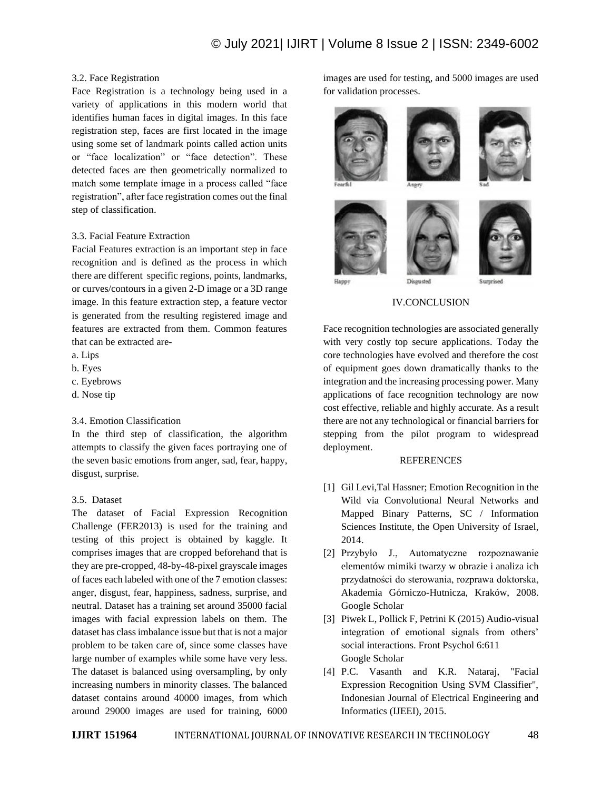## 3.2. Face Registration

Face Registration is a technology being used in a variety of applications in this modern world that identifies human faces in digital images. In this face registration step, faces are first located in the image using some set of landmark points called action units or "face localization" or "face detection". These detected faces are then geometrically normalized to match some template image in a process called "face registration", after face registration comes out the final step of classification.

## 3.3. Facial Feature Extraction

Facial Features extraction is an important step in face recognition and is defined as the process in which there are different specific regions, points, landmarks, or curves/contours in a given 2-D image or a 3D range image. In this feature extraction step, a feature vector is generated from the resulting registered image and features are extracted from them. Common features that can be extracted are-

- a. Lips
- b. Eyes
- c. Eyebrows
- d. Nose tip

### 3.4. Emotion Classification

In the third step of classification, the algorithm attempts to classify the given faces portraying one of the seven basic emotions from anger, sad, fear, happy, disgust, surprise.

# 3.5. Dataset

The dataset of Facial Expression Recognition Challenge (FER2013) is used for the training and testing of this project is obtained by kaggle. It comprises images that are cropped beforehand that is they are pre-cropped, 48-by-48-pixel grayscale images of faces each labeled with one of the 7 emotion classes: anger, disgust, fear, happiness, sadness, surprise, and neutral. Dataset has a training set around 35000 facial images with facial expression labels on them. The dataset has class imbalance issue but that is not a major problem to be taken care of, since some classes have large number of examples while some have very less. The dataset is balanced using oversampling, by only increasing numbers in minority classes. The balanced dataset contains around 40000 images, from which around 29000 images are used for training, 6000 images are used for testing, and 5000 images are used for validation processes.



### IV.CONCLUSION

Face recognition technologies are associated generally with very costly top secure applications. Today the core technologies have evolved and therefore the cost of equipment goes down dramatically thanks to the integration and the increasing processing power. Many applications of face recognition technology are now cost effective, reliable and highly accurate. As a result there are not any technological or financial barriers for stepping from the pilot program to widespread deployment.

# **REFERENCES**

- [1] Gil Levi,Tal Hassner; Emotion Recognition in the Wild via Convolutional Neural Networks and Mapped Binary Patterns, SC / Information Sciences Institute, the Open University of Israel, 2014.
- [2] Przybyło J., Automatyczne rozpoznawanie elementów mimiki twarzy w obrazie i analiza ich przydatności do sterowania, rozprawa doktorska, Akademia Górniczo-Hutnicza, Kraków, 2008. Google Scholar
- [3] Piwek L, Pollick F, Petrini K (2015) Audio-visual integration of emotional signals from others' social interactions. Front Psychol 6:611 Google Scholar
- [4] P.C. Vasanth and K.R. Nataraj, "Facial Expression Recognition Using SVM Classifier", Indonesian Journal of Electrical Engineering and Informatics (IJEEI), 2015.